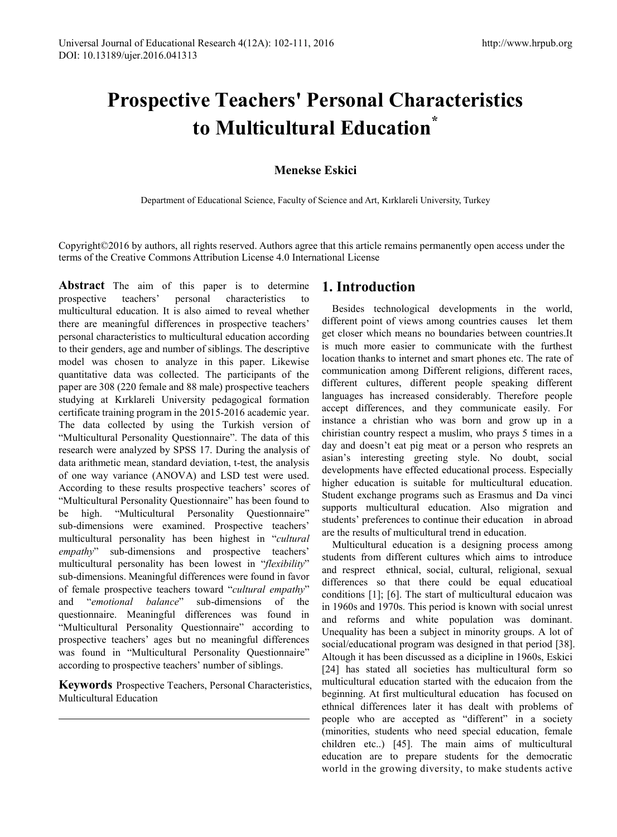# **Prospective Teachers' Personal Characteristics to Multicultural Education\***

## **Menekse Eskici**

Department of Educational Science, Faculty of Science and Art, Kırklareli University, Turkey

Copyright©2016 by authors, all rights reserved. Authors agree that this article remains permanently open access under the terms of the Creative Commons Attribution License 4.0 International License

**Abstract** The aim of this paper is to determine prospective teachers' personal characteristics multicultural education. It is also aimed to reveal whether there are meaningful differences in prospective teachers' personal characteristics to multicultural education according to their genders, age and number of siblings. The descriptive model was chosen to analyze in this paper. Likewise quantitative data was collected. The participants of the paper are 308 (220 female and 88 male) prospective teachers studying at Kırklareli University pedagogical formation certificate training program in the 2015-2016 academic year. The data collected by using the Turkish version of "Multicultural Personality Questionnaire". The data of this research were analyzed by SPSS 17. During the analysis of data arithmetic mean, standard deviation, t-test, the analysis of one way variance (ANOVA) and LSD test were used. According to these results prospective teachers' scores of "Multicultural Personality Questionnaire" has been found to be high. "Multicultural Personality Questionnaire" sub-dimensions were examined. Prospective teachers' multicultural personality has been highest in "*cultural empathy*" sub-dimensions and prospective teachers' multicultural personality has been lowest in "*flexibility*" sub-dimensions. Meaningful differences were found in favor of female prospective teachers toward "*cultural empathy*" and "*emotional balance*" sub-dimensions of the questionnaire. Meaningful differences was found in "Multicultural Personality Questionnaire" according to prospective teachers' ages but no meaningful differences was found in "Multicultural Personality Questionnaire" according to prospective teachers' number of siblings.

**Keywords** Prospective Teachers, Personal Characteristics, Multicultural Education

# **1. Introduction**

Besides technological developments in the world, different point of views among countries causes let them get closer which means no boundaries between countries.It is much more easier to communicate with the furthest location thanks to internet and smart phones etc. The rate of communication among Different religions, different races, different cultures, different people speaking different languages has increased considerably. Therefore people accept differences, and they communicate easily. For instance a christian who was born and grow up in a chiristian country respect a muslim, who prays 5 times in a day and doesn't eat pig meat or a person who resprets an asian's interesting greeting style. No doubt, social developments have effected educational process. Especially higher education is suitable for multicultural education. Student exchange programs such as Erasmus and Da vinci supports multicultural education. Also migration and students' preferences to continue their education in abroad are the results of multicultural trend in education.

Multicultural education is a designing process among students from different cultures which aims to introduce and resprect ethnical, social, cultural, religional, sexual differences so that there could be equal educatioal conditions [1]; [6]. The start of multicultural educaion was in 1960s and 1970s. This period is known with social unrest and reforms and white population was dominant. Unequality has been a subject in minority groups. A lot of social/educational program was designed in that period [38]. Altough it has been discussed as a dicipline in 1960s, Eskici [24] has stated all societies has multicultural form so multicultural education started with the educaion from the beginning. At first multicultural education has focused on ethnical differences later it has dealt with problems of people who are accepted as "different" in a society (minorities, students who need special education, female children etc..) [45]. The main aims of multicultural education are to prepare students for the democratic world in the growing diversity, to make students active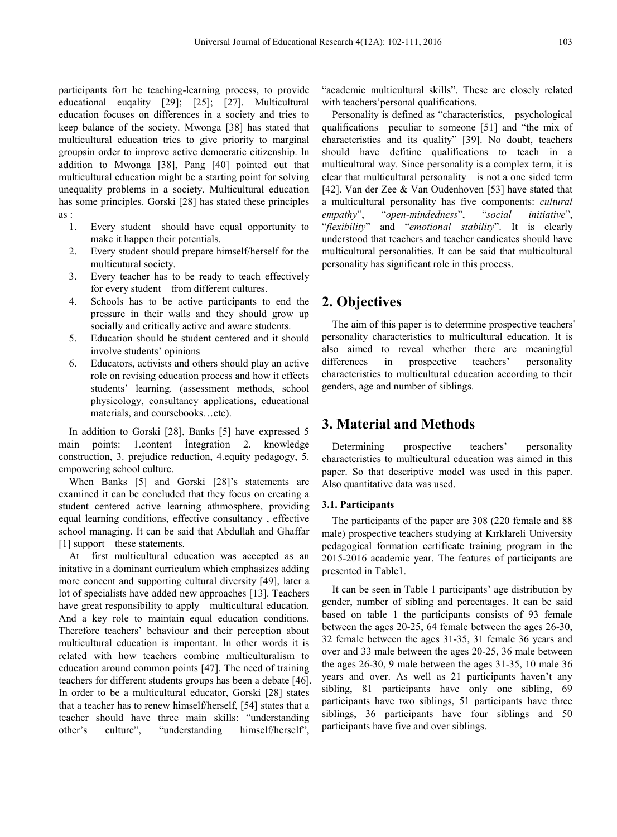participants fort he teaching-learning process, to provide educational euqality [29]; [25]; [27]. Multicultural education focuses on differences in a society and tries to keep balance of the society. Mwonga [38] has stated that multicultural education tries to give priority to marginal groupsin order to improve active democratic citizenship. In addition to Mwonga [38], Pang [40] pointed out that multicultural education might be a starting point for solving unequality problems in a society. Multicultural education has some principles. Gorski [28] has stated these principles as :

- 1. Every student should have equal opportunity to make it happen their potentials.
- 2. Every student should prepare himself/herself for the multicutural society.
- 3. Every teacher has to be ready to teach effectively for every student from different cultures.
- 4. Schools has to be active participants to end the pressure in their walls and they should grow up socially and critically active and aware students.
- 5. Education should be student centered and it should involve students' opinions
- 6. Educators, activists and others should play an active role on revising education process and how it effects students' learning. (assessment methods, school physicology, consultancy applications, educational materials, and coursebooks…etc).

In addition to Gorski [28], Banks [5] have expressed 5 main points: 1.content İntegration 2. knowledge construction, 3. prejudice reduction, 4.equity pedagogy, 5. empowering school culture.

When Banks [5] and Gorski [28]'s statements are examined it can be concluded that they focus on creating a student centered active learning athmosphere, providing equal learning conditions, effective consultancy , effective school managing. It can be said that Abdullah and Ghaffar [1] support these statements.

At first multicultural education was accepted as an initative in a dominant curriculum which emphasizes adding more concent and supporting cultural diversity [49], later a lot of specialists have added new approaches [13]. Teachers have great responsibility to apply multicultural education. And a key role to maintain equal education conditions. Therefore teachers' behaviour and their perception about multicultural education is impontant. In other words it is related with how teachers combine multiculturalism to education around common points [47]. The need of training teachers for different students groups has been a debate [46]. In order to be a multicultural educator, Gorski [28] states that a teacher has to renew himself/herself, [54] states that a teacher should have three main skills: "understanding other's culture", "understanding himself/herself",

"academic multicultural skills". These are closely related with teachers' personal qualifications.

Personality is defined as "characteristics, psychological qualifications peculiar to someone [51] and "the mix of characteristics and its quality" [39]. No doubt, teachers should have defitine qualifications to teach in a multicultural way. Since personality is a complex term, it is clear that multicultural personality is not a one sided term [42]. Van der Zee & Van Oudenhoven [53] have stated that a multicultural personality has five components: *cultural empathy*", "*open-mindedness*", "*social initiative*", "*flexibility*" and "*emotional stability*". It is clearly understood that teachers and teacher candicates should have multicultural personalities. It can be said that multicultural personality has significant role in this process.

## **2. Objectives**

The aim of this paper is to determine prospective teachers' personality characteristics to multicultural education. It is also aimed to reveal whether there are meaningful differences in prospective teachers' personality characteristics to multicultural education according to their genders, age and number of siblings.

## **3. Material and Methods**

Determining prospective teachers' personality characteristics to multicultural education was aimed in this paper. So that descriptive model was used in this paper. Also quantitative data was used.

#### **3.1. Participants**

The participants of the paper are 308 (220 female and 88 male) prospective teachers studying at Kırklareli University pedagogical formation certificate training program in the 2015-2016 academic year. The features of participants are presented in Table1.

It can be seen in Table 1 participants' age distribution by gender, number of sibling and percentages. It can be said based on table 1 the participants consists of 93 female between the ages 20-25, 64 female between the ages 26-30, 32 female between the ages 31-35, 31 female 36 years and over and 33 male between the ages 20-25, 36 male between the ages 26-30, 9 male between the ages 31-35, 10 male 36 years and over. As well as 21 participants haven't any sibling, 81 participants have only one sibling, 69 participants have two siblings, 51 participants have three siblings, 36 participants have four siblings and 50 participants have five and over siblings.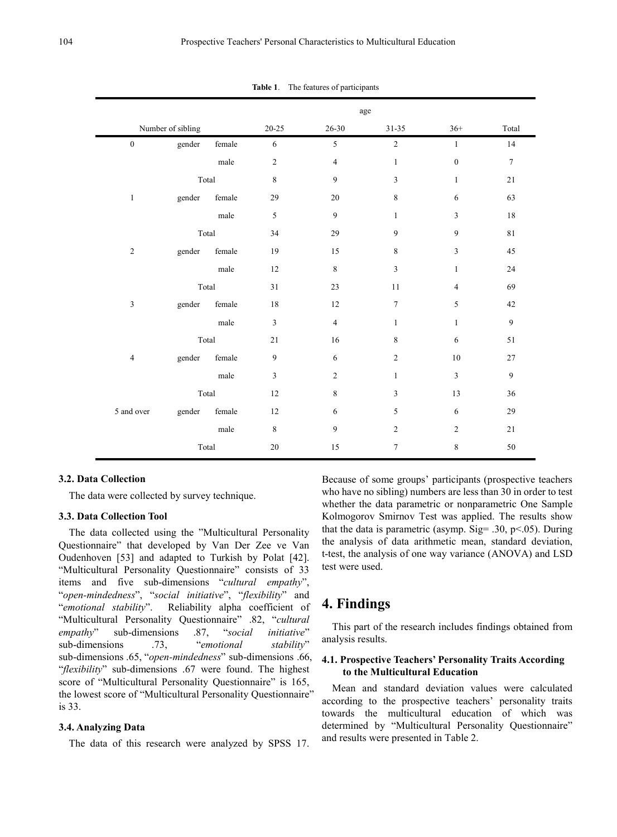|                  |                   |                 | age            |                |                  |                  |                  |  |  |
|------------------|-------------------|-----------------|----------------|----------------|------------------|------------------|------------------|--|--|
|                  | Number of sibling |                 | $20 - 25$      | $26 - 30$      | $31 - 35$        | $36+$            | Total            |  |  |
| $\boldsymbol{0}$ | gender            | female          | $\sqrt{6}$     | 5              | $\boldsymbol{2}$ | $\mathbf{1}$     | 14               |  |  |
|                  |                   | male            | $\sqrt{2}$     | $\overline{4}$ | $\mathbf{1}$     | $\boldsymbol{0}$ | $\boldsymbol{7}$ |  |  |
|                  | Total             |                 | $\,8\,$        | 9              | $\overline{3}$   | $\mathbf{1}$     | 21               |  |  |
| $\mathbf{1}$     | gender            | female          | 29             | 20             | $\,8\,$          | 6                | 63               |  |  |
|                  |                   | male            | $\sqrt{5}$     | 9              | $\mathbf{1}$     | 3                | 18               |  |  |
|                  |                   | Total           | 34             | 29             | 9                | 9                | $8\sqrt{1}$      |  |  |
| $\sqrt{2}$       | gender            | female          | 19             | 15             | $\,8\,$          | $\mathfrak{Z}$   | 45               |  |  |
|                  |                   | $_{\rm male}$   | 12             | $\,8\,$        | $\mathfrak{Z}$   | $\mathbf{1}$     | 24               |  |  |
|                  | Total             |                 | 31             | 23             | 11               | $\overline{4}$   | 69               |  |  |
| $\mathfrak{Z}$   | gender            | female          | 18             | 12             | $\overline{7}$   | 5                | 42               |  |  |
|                  |                   | male            | $\mathfrak{Z}$ | $\overline{4}$ | $\mathbf{1}$     | $\mathbf{1}$     | $\mathfrak{g}$   |  |  |
|                  | Total             |                 | 21             | 16             | 8                | 6                | 51               |  |  |
| $\overline{4}$   | female<br>gender  |                 | $\overline{9}$ | $\sqrt{6}$     | $\overline{2}$   | $10\,$           | 27               |  |  |
|                  |                   | $_{\rm male}$   | $\mathfrak{Z}$ | $\overline{2}$ | $\mathbf{1}$     | $\overline{3}$   | $\boldsymbol{9}$ |  |  |
|                  | Total             |                 | 12             | 8              | $\mathfrak{Z}$   | 13               | 36               |  |  |
| 5 and over       | gender            | $\mbox{female}$ | 12             | 6              | 5                | 6                | 29               |  |  |
|                  |                   | male            | $\,8\,$        | 9              | $\overline{2}$   | $\overline{2}$   | 21               |  |  |
|                  | Total             |                 | 20             | 15             | $\overline{7}$   | 8                | 50               |  |  |

**Table 1**. The features of participants

#### **3.2. Data Collection**

The data were collected by survey technique.

#### **3.3. Data Collection Tool**

The data collected using the "Multicultural Personality Questionnaire" that developed by Van Der Zee ve Van Oudenhoven [53] and adapted to Turkish by Polat [42]. "Multicultural Personality Questionnaire" consists of 33 items and five sub-dimensions "*cultural empathy*", "*open-mindedness*", "*social initiative*", "*flexibility*" and "*emotional stability*". Reliability alpha coefficient of "Multicultural Personality Questionnaire" .82, "*cultural empathy*" sub-dimensions .87, "*social initiative*" sub-dimensions .73, "*emotional stability*" sub-dimensions .65, "*open-mindedness*" sub-dimensions .66, "*flexibility*" sub-dimensions .67 were found. The highest score of "Multicultural Personality Questionnaire" is 165, the lowest score of "Multicultural Personality Questionnaire" is 33.

#### **3.4. Analyzing Data**

The data of this research were analyzed by SPSS 17.

Because of some groups' participants (prospective teachers who have no sibling) numbers are less than 30 in order to test whether the data parametric or nonparametric One Sample Kolmogorov Smirnov Test was applied. The results show that the data is parametric (asymp. Sig=  $.30, p<0.05$ ). During the analysis of data arithmetic mean, standard deviation, t-test, the analysis of one way variance (ANOVA) and LSD test were used.

## **4. Findings**

This part of the research includes findings obtained from analysis results.

#### **4.1. Prospective Teachers' Personality Traits According to the Multicultural Education**

Mean and standard deviation values were calculated according to the prospective teachers' personality traits towards the multicultural education of which was determined by "Multicultural Personality Questionnaire" and results were presented in Table 2.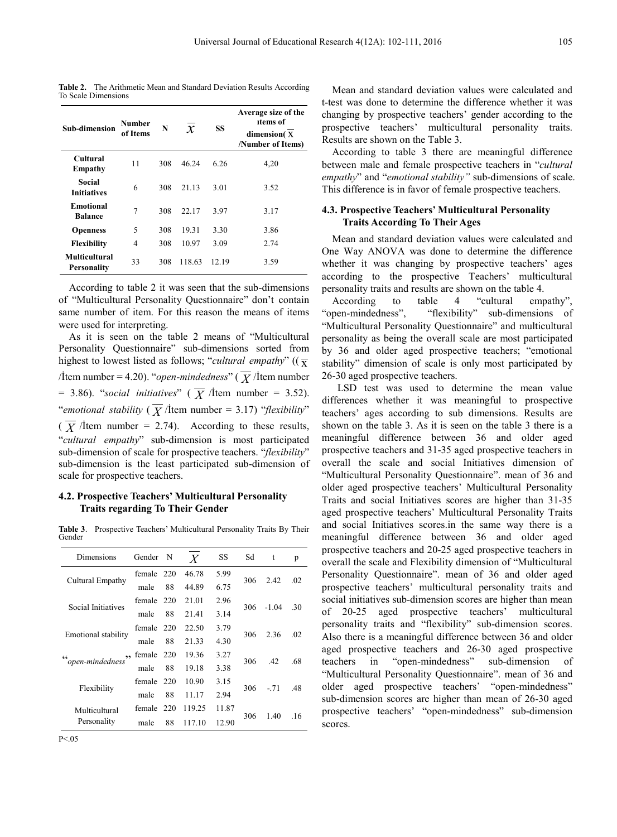**Table 2.** The Arithmetic Mean and Standard Deviation Results According To Scale Dimensions

| Sub-dimension                              | <b>Number</b><br>of Items | N   | $\mathcal{X}$ | SS    | Average size of the<br>items of<br>dimension(X<br>/Number of Items) |
|--------------------------------------------|---------------------------|-----|---------------|-------|---------------------------------------------------------------------|
| <b>Cultural</b><br>Empathy                 | 11                        | 308 | 46.24         | 6.26  | 4,20                                                                |
| Social<br><b>Initiatives</b>               | 6                         | 308 | 21.13         | 3.01  | 3.52                                                                |
| <b>Emotional</b><br><b>Balance</b>         | 7                         | 308 | 22.17         | 3.97  | 3.17                                                                |
| <b>Openness</b>                            | 5                         | 308 | 19.31         | 3.30  | 3.86                                                                |
| <b>Flexibility</b>                         | 4                         | 308 | 10.97         | 3.09  | 2.74                                                                |
| <b>Multicultural</b><br><b>Personality</b> | 33                        | 308 | 118.63        | 12.19 | 3.59                                                                |

According to table 2 it was seen that the sub-dimensions of "Multicultural Personality Questionnaire" don't contain same number of item. For this reason the means of items were used for interpreting.

As it is seen on the table 2 means of "Multicultural Personality Questionnaire" sub-dimensions sorted from highest to lowest listed as follows; "*cultural empathy*" ( $(\bar{x})$ /İtem number = 4.20). "*open-mindedness*" ( $\overline{X}$ /İtem number = 3.86). "*social initiatives*" ( $\overline{X}$  /İtem number = 3.52). "*emotional stability*  $(\overline{X})$  / *i*tem number = 3.17) "*flexibility*"  $(\overline{X})$  /İtem number = 2.74). According to these results, "*cultural empathy*" sub-dimension is most participated sub-dimension of scale for prospective teachers. "*flexibility*" sub-dimension is the least participated sub-dimension of scale for prospective teachers.

#### **4.2. Prospective Teachers' Multicultural Personality Traits regarding To Their Gender**

**Table 3**. Prospective Teachers' Multicultural Personality Traits By Their Gender

| Dimensions                          | Gender N |     | $\boldsymbol{X}$ | SS    | Sd  | t       | p   |
|-------------------------------------|----------|-----|------------------|-------|-----|---------|-----|
| Cultural Empathy                    | female   | 220 | 46.78            | 5.99  | 306 | 2.42    | .02 |
|                                     | male     | 88  | 44.89            | 6.75  |     |         |     |
| Social Initiatives                  | female   | 220 | 21.01            | 2.96  | 306 | $-1.04$ | -30 |
|                                     | male     | 88  | 21.41            | 3.14  |     |         |     |
| Emotional stability                 | female   | 220 | 22.50            | 3.79  | 306 | 2.36    | .02 |
|                                     | male     | 88  | 21.33            | 4.30  |     |         |     |
| ,,<br>$\epsilon$<br>open-mindedness | female   | 220 | 19.36            | 3.27  | 306 | $-42$   | .68 |
|                                     | male     | 88  | 19.18            | 3.38  |     |         |     |
|                                     | female   | 220 | 10.90            | 3.15  | 306 | $-71$   | .48 |
| Flexibility                         | male     | 88  | 11 17            | 2.94  |     |         |     |
| Multicultural                       | female   | 220 | 119.25           | 11.87 | 306 | 1.40    |     |
| Personality                         | male     | 88  | 117.10           | 12.90 |     |         | .16 |

 $P < 0.5$ 

Mean and standard deviation values were calculated and t-test was done to determine the difference whether it was changing by prospective teachers' gender according to the prospective teachers' multicultural personality traits. Results are shown on the Table 3.

According to table 3 there are meaningful difference between male and female prospective teachers in "*cultural empathy*" and "*emotional stability"* sub-dimensions of scale. This difference is in favor of female prospective teachers.

### **4.3. Prospective Teachers' Multicultural Personality Traits According To Their Ages**

Mean and standard deviation values were calculated and One Way ANOVA was done to determine the difference whether it was changing by prospective teachers' ages according to the prospective Teachers' multicultural personality traits and results are shown on the table 4.

According to table 4 "cultural empathy", "open-mindedness", "flexibility" sub-dimensions of "Multicultural Personality Questionnaire" and multicultural personality as being the overall scale are most participated by 36 and older aged prospective teachers; "emotional stability" dimension of scale is only most participated by 26-30 aged prospective teachers.

LSD test was used to determine the mean value differences whether it was meaningful to prospective teachers' ages according to sub dimensions. Results are shown on the table 3. As it is seen on the table 3 there is a meaningful difference between 36 and older aged prospective teachers and 31-35 aged prospective teachers in overall the scale and social Initiatives dimension of "Multicultural Personality Questionnaire". mean of 36 and older aged prospective teachers' Multicultural Personality Traits and social Initiatives scores are higher than 31-35 aged prospective teachers' Multicultural Personality Traits and social Initiatives scores.in the same way there is a meaningful difference between 36 and older aged prospective teachers and 20-25 aged prospective teachers in overall the scale and Flexibility dimension of "Multicultural Personality Questionnaire". mean of 36 and older aged prospective teachers' multicultural personality traits and social initiatives sub-dimension scores are higher than mean of 20-25 aged prospective teachers' multicultural personality traits and "flexibility" sub-dimension scores. Also there is a meaningful difference between 36 and older aged prospective teachers and 26-30 aged prospective teachers in "open-mindedness" sub-dimension of "Multicultural Personality Questionnaire". mean of 36 and older aged prospective teachers' "open-mindedness" sub-dimension scores are higher than mean of 26-30 aged prospective teachers' "open-mindedness" sub-dimension scores.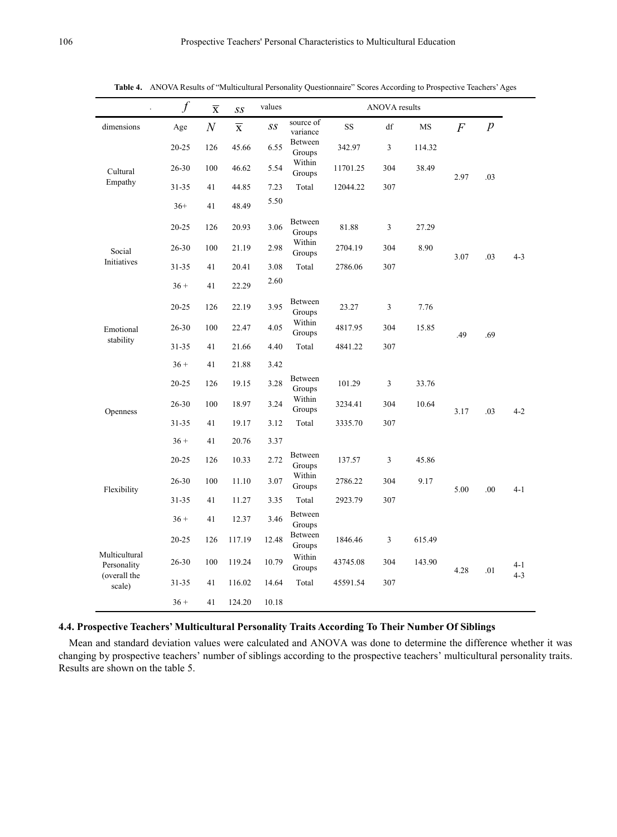|                              | $\int$    | $\overline{\mathbf{x}}$ | SS                      | values |                                     |          | <b>ANOVA</b> results |        |                |                  |         |
|------------------------------|-----------|-------------------------|-------------------------|--------|-------------------------------------|----------|----------------------|--------|----------------|------------------|---------|
| dimensions                   | Age       | $\boldsymbol{N}$        | $\overline{\textbf{X}}$ | SS     | source of<br>variance               | SS       | df                   | MS     | $\overline{F}$ | $\boldsymbol{p}$ |         |
| Cultural<br>Empathy          | $20 - 25$ | 126                     | 45.66                   | 6.55   | Between<br>Groups                   | 342.97   | 3                    | 114.32 |                |                  |         |
|                              | 26-30     | 100                     | 46.62                   | 5.54   | Within<br>Groups                    | 11701.25 | 304                  | 38.49  | 2.97           | .03              |         |
|                              | $31 - 35$ | 41                      | 44.85                   | 7.23   | Total                               | 12044.22 | 307                  |        |                |                  |         |
|                              | $36+$     | 41                      | 48.49                   | 5.50   |                                     |          |                      |        |                |                  |         |
|                              | $20 - 25$ | 126                     | 20.93                   | 3.06   | Between<br>Groups                   | 81.88    | 3                    | 27.29  |                |                  |         |
| Social                       | 26-30     | 100                     | 21.19                   | 2.98   | Within<br>Groups                    | 2704.19  | 304                  | 8.90   | 3.07           | .03              | $4 - 3$ |
| Initiatives                  | $31 - 35$ | 41                      | 20.41                   | 3.08   | Total                               | 2786.06  | 307                  |        |                |                  |         |
|                              | $36 +$    | 41                      | 22.29                   | 2.60   |                                     |          |                      |        |                |                  |         |
| Emotional<br>stability       | $20 - 25$ | 126                     | 22.19                   | 3.95   | Between<br>Groups                   | 23.27    | 3                    | 7.76   |                |                  |         |
|                              | 26-30     | 100                     | 22.47                   | 4.05   | Within<br>Groups                    | 4817.95  | 304                  | 15.85  | .49            | .69              |         |
|                              | $31 - 35$ | 41                      | 21.66                   | 4.40   | Total                               | 4841.22  | 307                  |        |                |                  |         |
|                              | $36 +$    | 41                      | 21.88                   | 3.42   |                                     |          |                      |        |                |                  |         |
|                              | $20 - 25$ | 126                     | 19.15                   | 3.28   | Between<br>Groups                   | 101.29   | 3                    | 33.76  | 3.17           |                  |         |
| Openness                     | 26-30     | 100                     | 18.97                   | 3.24   | Within<br>Groups                    | 3234.41  | 304                  | 10.64  |                | .03              | $4 - 2$ |
|                              | $31 - 35$ | 41                      | 19.17                   | 3.12   | Total                               | 3335.70  | 307                  |        |                |                  |         |
|                              | $36 +$    | 41                      | 20.76                   | 3.37   |                                     |          |                      |        |                |                  |         |
|                              | $20 - 25$ | 126                     | 10.33                   | 2.72   | Between<br>Groups                   | 137.57   | 3                    | 45.86  |                |                  | $4 - 1$ |
| Flexibility                  | 26-30     | 100                     | 11.10                   | 3.07   | Within<br>Groups                    | 2786.22  | 304                  | 9.17   | 5.00           | .00              |         |
|                              | 31-35     | 41                      | 11.27                   | 3.35   | Total                               | 2923.79  | 307                  |        |                |                  |         |
|                              | $36 +$    | 41                      | 12.37                   | 3.46   | Between<br>Groups                   |          |                      |        |                |                  |         |
|                              | $20 - 25$ | 126                     | 117.19                  | 12.48  | Between<br>Groups                   | 1846.46  | 3                    | 615.49 |                |                  |         |
| Multicultural<br>Personality | $26 - 30$ | 100                     | 119.24                  | 10.79  | Within<br>43745.08<br>304<br>Groups | 143.90   | 4.28                 | .01    | $4-1$          |                  |         |
| (overall the<br>scale)       | 31-35     | 41                      | 116.02                  | 14.64  | Total                               | 45591.54 | 307                  |        |                |                  | $4 - 3$ |
|                              | $36 +$    | 41                      | 124.20                  | 10.18  |                                     |          |                      |        |                |                  |         |

**Table 4.** ANOVA Results of "Multicultural Personality Questionnaire" Scores According to Prospective Teachers'Ages

## **4.4. Prospective Teachers' Multicultural Personality Traits According To Their Number Of Siblings**

Mean and standard deviation values were calculated and ANOVA was done to determine the difference whether it was changing by prospective teachers' number of siblings according to the prospective teachers' multicultural personality traits. Results are shown on the table 5.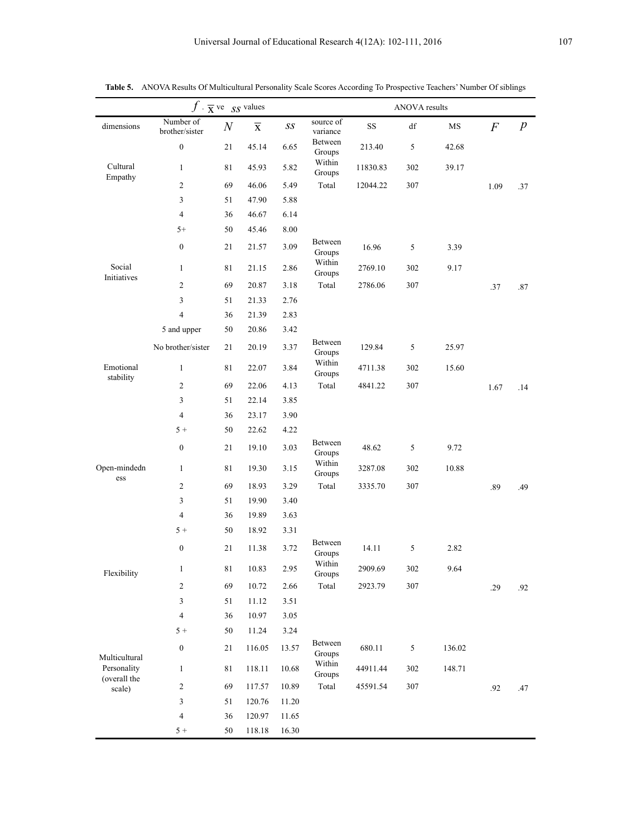|                             | $f \cdot \overline{\mathbf{x}}$ ve $SS$ values |                  |                         |                          |                       | ANOVA results |                        |           |                  |                  |  |
|-----------------------------|------------------------------------------------|------------------|-------------------------|--------------------------|-----------------------|---------------|------------------------|-----------|------------------|------------------|--|
| dimensions                  | Number of<br>brother/sister                    | $\boldsymbol{N}$ | $\overline{\mathbf{x}}$ | $\mathcal{S}\mathcal{S}$ | source of<br>variance | $\rm SS$      | $\mathrm{d}\mathrm{f}$ | $\rm{MS}$ | $\boldsymbol{F}$ | $\boldsymbol{p}$ |  |
|                             | $\boldsymbol{0}$                               | 21               | 45.14                   | 6.65                     | Between<br>Groups     | 213.40        | $\sqrt{5}$             | 42.68     |                  |                  |  |
| Cultural<br>Empathy         | $\mathbf{1}$                                   | 81               | 45.93                   | 5.82                     | Within<br>Groups      | 11830.83      | 302                    | 39.17     |                  |                  |  |
|                             | 2                                              | 69               | 46.06                   | 5.49                     | Total                 | 12044.22      | 307                    |           | 1.09             | .37              |  |
|                             | 3                                              | 51               | 47.90                   | 5.88                     |                       |               |                        |           |                  |                  |  |
|                             | 4                                              | 36               | 46.67                   | 6.14                     |                       |               |                        |           |                  |                  |  |
|                             | $5+$                                           | 50               | 45.46                   | 8.00                     |                       |               |                        |           |                  |                  |  |
|                             | $\boldsymbol{0}$                               | 21               | 21.57                   | 3.09                     | Between<br>Groups     | 16.96         | 5                      | 3.39      |                  |                  |  |
| Social<br>Initiatives       | $\mathbf{1}$                                   | 81               | 21.15                   | 2.86                     | Within<br>Groups      | 2769.10       | 302                    | 9.17      |                  |                  |  |
|                             | 2                                              | 69               | 20.87                   | 3.18                     | Total                 | 2786.06       | 307                    |           | .37              | .87              |  |
|                             | 3                                              | 51               | 21.33                   | 2.76                     |                       |               |                        |           |                  |                  |  |
|                             | 4                                              | 36               | 21.39                   | 2.83                     |                       |               |                        |           |                  |                  |  |
|                             | 5 and upper                                    | 50               | 20.86                   | 3.42                     |                       |               |                        |           |                  |                  |  |
|                             | No brother/sister                              | 21               | 20.19                   | 3.37                     | Between<br>Groups     | 129.84        | 5                      | 25.97     |                  |                  |  |
| Emotional<br>stability      | $\mathbf{1}$                                   | 81               | 22.07                   | 3.84                     | Within<br>Groups      | 4711.38       | 302                    | 15.60     |                  |                  |  |
|                             | 2                                              | 69               | 22.06                   | 4.13                     | Total                 | 4841.22       | 307                    |           | 1.67             | .14              |  |
|                             | 3                                              | 51               | 22.14                   | 3.85                     |                       |               |                        |           |                  |                  |  |
|                             | 4                                              | 36               | 23.17                   | 3.90                     |                       |               |                        |           |                  |                  |  |
|                             | $5+$                                           | 50               | 22.62                   | 4.22                     |                       |               |                        |           |                  |                  |  |
|                             | $\boldsymbol{0}$                               | 21               | 19.10                   | 3.03                     | Between<br>Groups     | 48.62         | 5                      | 9.72      |                  |                  |  |
| Open-mindedn<br>ess         | $\mathbf{1}$                                   | 81               | 19.30                   | 3.15                     | Within<br>Groups      | 3287.08       | 302                    | 10.88     |                  |                  |  |
|                             | $\mathbf{2}$                                   | 69               | 18.93                   | 3.29                     | Total                 | 3335.70       | 307                    |           | .89              | .49              |  |
|                             | 3                                              | 51               | 19.90                   | 3.40                     |                       |               |                        |           |                  |                  |  |
|                             | 4                                              | 36               | 19.89                   | 3.63                     |                       |               |                        |           |                  |                  |  |
|                             | $5+$                                           | 50               | 18.92                   | 3.31                     |                       |               |                        |           |                  |                  |  |
|                             | $\boldsymbol{0}$                               | 21               | 11.38                   | 3.72                     | Between<br>Groups     | 14.11         | 5                      | 2.82      |                  |                  |  |
| Flexibility                 | $\mathbf{1}$                                   | 81               | 10.83                   | 2.95                     | Within<br>Groups      | 2909.69       | 302                    | 9.64      |                  |                  |  |
|                             | 2                                              | 69               | 10.72                   | 2.66                     | Total                 | 2923.79       | 307                    |           | .29              | .92              |  |
|                             | 3                                              | 51               | 11.12                   | 3.51                     |                       |               |                        |           |                  |                  |  |
|                             | 4                                              | 36               | 10.97                   | 3.05                     |                       |               |                        |           |                  |                  |  |
|                             | $5+$                                           | 50               | 11.24                   | 3.24                     |                       |               |                        |           |                  |                  |  |
| Multicultural               | $\boldsymbol{0}$                               | 21               | 116.05                  | 13.57                    | Between<br>Groups     | 680.11        | 5                      | 136.02    |                  |                  |  |
| Personality<br>(overall the | $\mathbf{1}$                                   | $8\sqrt{1}$      | 118.11                  | 10.68                    | Within<br>Groups      | 44911.44      | 302                    | 148.71    |                  |                  |  |
| scale)                      | 2                                              | 69               | 117.57                  | 10.89                    | Total                 | 45591.54      | 307                    |           | .92              | .47              |  |
|                             | 3                                              | 51               | 120.76                  | 11.20                    |                       |               |                        |           |                  |                  |  |
|                             | 4                                              | 36               | 120.97                  | 11.65                    |                       |               |                        |           |                  |                  |  |
|                             | $5+$                                           | 50               | 118.18                  | 16.30                    |                       |               |                        |           |                  |                  |  |

**Table 5.** ANOVA Results Of Multicultural Personality Scale Scores According To Prospective Teachers' Number Of siblings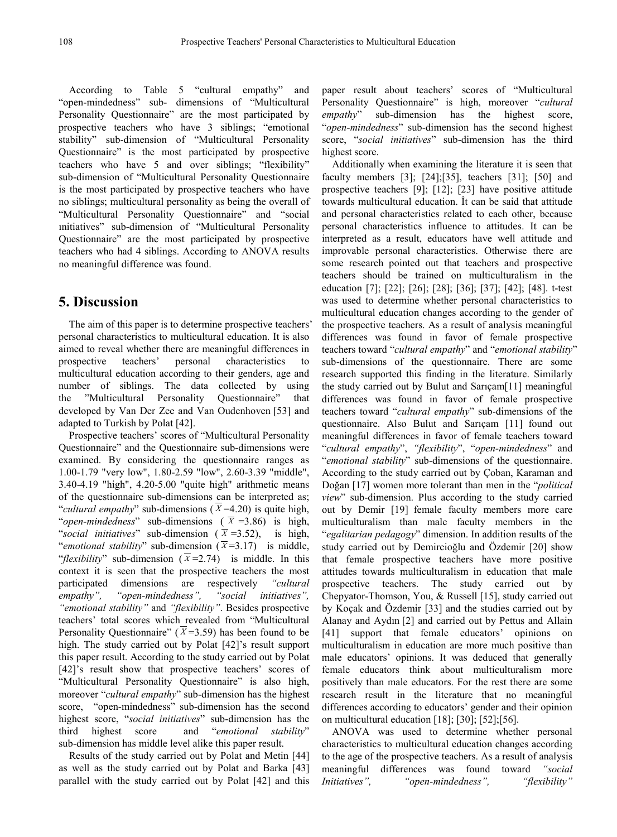According to Table 5 "cultural empathy" and "open-mindedness" sub- dimensions of "Multicultural Personality Questionnaire" are the most participated by prospective teachers who have 3 siblings; "emotional stability" sub-dimension of "Multicultural Personality Questionnaire" is the most participated by prospective teachers who have 5 and over siblings; "flexibility" sub-dimension of "Multicultural Personality Questionnaire is the most participated by prospective teachers who have no siblings; multicultural personality as being the overall of "Multicultural Personality Questionnaire" and "social ınitiatives" sub-dimension of "Multicultural Personality Questionnaire" are the most participated by prospective teachers who had 4 siblings. According to ANOVA results no meaningful difference was found.

## **5. Discussion**

The aim of this paper is to determine prospective teachers' personal characteristics to multicultural education. It is also aimed to reveal whether there are meaningful differences in prospective teachers' personal characteristics to multicultural education according to their genders, age and number of siblings. The data collected by using the "Multicultural Personality Questionnaire" that developed by Van Der Zee and Van Oudenhoven [53] and adapted to Turkish by Polat [42].

Prospective teachers' scores of "Multicultural Personality Questionnaire" and the Questionnaire sub-dimensions were examined. By considering the questionnaire ranges as 1.00-1.79 "very low", 1.80-2.59 "low", 2.60-3.39 "middle", 3.40-4.19 "high", 4.20-5.00 "quite high" arithmetic means of the questionnaire sub-dimensions can be interpreted as; "*cultural empathy*" sub-dimensions ( $\overline{X}$ =4.20) is quite high, "*open-mindedness*" sub-dimensions ( $\overline{X}$  =3.86) is high, "*social initiatives*" sub-dimension ( $\bar{x}$  =3.52), is high, "*emotional stability*" sub-dimension  $(\overline{X}=3.17)$  is middle, "*flexibility*" sub-dimension ( $\bar{x}$ =2.74) is middle. In this context it is seen that the prospective teachers the most participated dimensions are respectively *"cultural empathy", "open-mindedness", "social initiatives", "emotional stability"* and *"flexibility"*. Besides prospective teachers' total scores which revealed from "Multicultural Personality Questionnaire" ( $\overline{X}$ =3.59) has been found to be high. The study carried out by Polat [42]'s result support this paper result. According to the study carried out by Polat [42]'s result show that prospective teachers' scores of "Multicultural Personality Questionnaire" is also high, moreover "*cultural empathy*" sub-dimension has the highest score, "open-mindedness" sub-dimension has the second highest score, "*social initiatives*" sub-dimension has the third highest score and "*emotional stability*" sub-dimension has middle level alike this paper result.

Results of the study carried out by Polat and Metin [44] as well as the study carried out by Polat and Barka [43] parallel with the study carried out by Polat [42] and this

paper result about teachers' scores of "Multicultural Personality Questionnaire" is high, moreover "*cultural empathy*" sub-dimension has the highest score, "*open-mindedness*" sub-dimension has the second highest score, "*social initiatives*" sub-dimension has the third highest score.

Additionally when examining the literature it is seen that faculty members [3]; [24];[35], teachers [31]; [50] and prospective teachers [9]; [12]; [23] have positive attitude towards multicultural education. İt can be said that attitude and personal characteristics related to each other, because personal characteristics influence to attitudes. It can be interpreted as a result, educators have well attitude and improvable personal characteristics. Otherwise there are some research pointed out that teachers and prospective teachers should be trained on multiculturalism in the education [7]; [22]; [26]; [28]; [36]; [37]; [42]; [48]. t-test was used to determine whether personal characteristics to multicultural education changes according to the gender of the prospective teachers. As a result of analysis meaningful differences was found in favor of female prospective teachers toward "*cultural empathy*" and "*emotional stability*" sub-dimensions of the questionnaire. There are some research supported this finding in the literature. Similarly the study carried out by Bulut and Sarıçam[11] meaningful differences was found in favor of female prospective teachers toward "*cultural empathy*" sub-dimensions of the questionnaire. Also Bulut and Sarıçam [11] found out meaningful differences in favor of female teachers toward "*cultural empathy*", *"flexibility*", "*open-mindedness*" and "*emotional stability*" sub-dimensions of the questionnaire. According to the study carried out by Çoban, Karaman and Doğan [17] women more tolerant than men in the "*political view*" sub-dimension. Plus according to the study carried out by Demir [19] female faculty members more care multiculturalism than male faculty members in the "*egalitarian pedagogy*" dimension. In addition results of the study carried out by Demircioğlu and Özdemir [20] show that female prospective teachers have more positive attitudes towards multiculturalism in education that male prospective teachers. The study carried out by Chepyator-Thomson, You, & Russell [15], study carried out by Koçak and Özdemir [33] and the studies carried out by Alanay and Aydın [2] and carried out by Pettus and Allain [41] support that female educators' opinions on multiculturalism in education are more much positive than male educators' opinions. It was deduced that generally female educators think about multiculturalism more positively than male educators. For the rest there are some research result in the literature that no meaningful differences according to educators' gender and their opinion on multicultural education [18]; [30]; [52];[56].

ANOVA was used to determine whether personal characteristics to multicultural education changes according to the age of the prospective teachers. As a result of analysis meaningful differences was found toward *"social Initiatives", "open-mindedness", "flexibility"*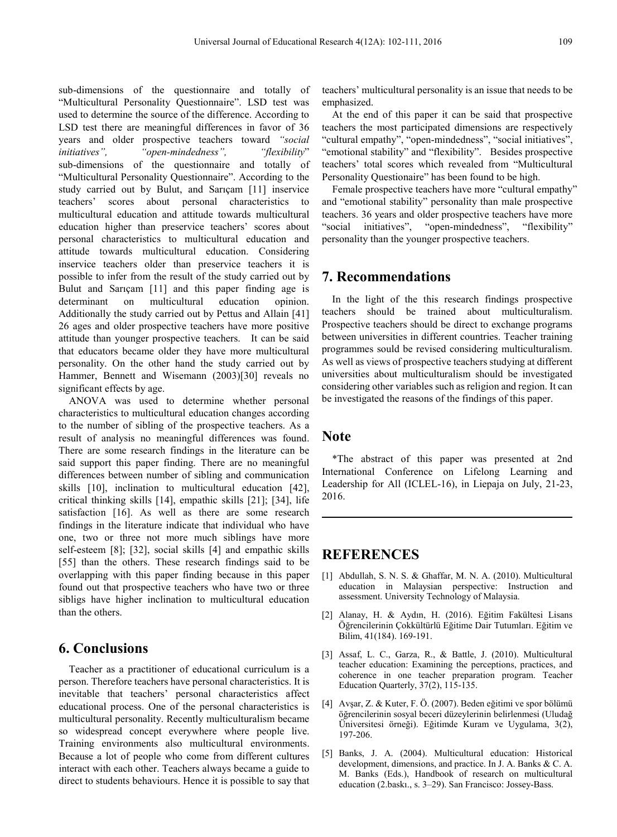sub-dimensions of the questionnaire and totally of "Multicultural Personality Questionnaire". LSD test was used to determine the source of the difference. According to LSD test there are meaningful differences in favor of 36 years and older prospective teachers toward *"social initiatives", "open-mindedness", "flexibility*" sub-dimensions of the questionnaire and totally of "Multicultural Personality Questionnaire". According to the study carried out by Bulut, and Sarıçam [11] inservice teachers' scores about personal characteristics to multicultural education and attitude towards multicultural education higher than preservice teachers' scores about personal characteristics to multicultural education and attitude towards multicultural education. Considering inservice teachers older than preservice teachers it is possible to infer from the result of the study carried out by Bulut and Sarıçam [11] and this paper finding age is determinant on multicultural education opinion. Additionally the study carried out by Pettus and Allain [41] 26 ages and older prospective teachers have more positive attitude than younger prospective teachers. It can be said that educators became older they have more multicultural personality. On the other hand the study carried out by Hammer, Bennett and Wisemann (2003)[30] reveals no significant effects by age.

ANOVA was used to determine whether personal characteristics to multicultural education changes according to the number of sibling of the prospective teachers. As a result of analysis no meaningful differences was found. There are some research findings in the literature can be said support this paper finding. There are no meaningful differences between number of sibling and communication skills [10], inclination to multicultural education [42], critical thinking skills [14], empathic skills [21]; [34], life satisfaction [16]. As well as there are some research findings in the literature indicate that individual who have one, two or three not more much siblings have more self-esteem [8]; [32], social skills [4] and empathic skills [55] than the others. These research findings said to be overlapping with this paper finding because in this paper found out that prospective teachers who have two or three sibligs have higher inclination to multicultural education than the others.

## **6. Conclusions**

Teacher as a practitioner of educational curriculum is a person. Therefore teachers have personal characteristics. It is inevitable that teachers' personal characteristics affect educational process. One of the personal characteristics is multicultural personality. Recently multiculturalism became so widespread concept everywhere where people live. Training environments also multicultural environments. Because a lot of people who come from different cultures interact with each other. Teachers always became a guide to direct to students behaviours. Hence it is possible to say that teachers' multicultural personality is an issue that needs to be emphasized.

At the end of this paper it can be said that prospective teachers the most participated dimensions are respectively "cultural empathy", "open-mindedness", "social initiatives", "emotional stability" and "flexibility". Besides prospective teachers' total scores which revealed from "Multicultural Personality Questionaire" has been found to be high.

Female prospective teachers have more "cultural empathy" and "emotional stability" personality than male prospective teachers. 36 years and older prospective teachers have more "social initiatives", "open-mindedness", "flexibility" personality than the younger prospective teachers.

## **7. Recommendations**

In the light of the this research findings prospective teachers should be trained about multiculturalism. Prospective teachers should be direct to exchange programs between universities in different countries. Teacher training programmes sould be revised considering multiculturalism. As well as views of prospective teachers studying at different universities about multiculturalism should be investigated considering other variables such as religion and region. It can be investigated the reasons of the findings of this paper.

#### **Note**

\*The abstract of this paper was presented at 2nd International Conference on Lifelong Learning and Leadership for All (ICLEL-16), in Liepaja on July, 21-23, 2016.

## **REFERENCES**

- [1] Abdullah, S. N. S. & Ghaffar, M. N. A. (2010). Multicultural education in Malaysian perspective: Instruction and assessment. University Technology of Malaysia.
- [2] Alanay, H. & Aydın, H. (2016). Eğitim Fakültesi Lisans Öğrencilerinin Çokkültürlü Eğitime Dair Tutumları. Eğitim ve Bilim, 41(184). 169-191.
- [3] Assaf, L. C., Garza, R., & Battle, J. (2010). Multicultural teacher education: Examining the perceptions, practices, and coherence in one teacher preparation program. Teacher Education Quarterly, 37(2), 115-135.
- [4] Avşar, Z. & Kuter, F. Ö. (2007). Beden eğitimi ve spor bölümü öğrencilerinin sosyal beceri düzeylerinin belirlenmesi (Uludağ Üniversitesi örneği). Eğitimde Kuram ve Uygulama, 3(2), 197-206.
- [5] Banks, J. A. (2004). Multicultural education: Historical development, dimensions, and practice. In J. A. Banks & C. A. M. Banks (Eds.), Handbook of research on multicultural education (2.baskı., s. 3–29). San Francisco: Jossey-Bass.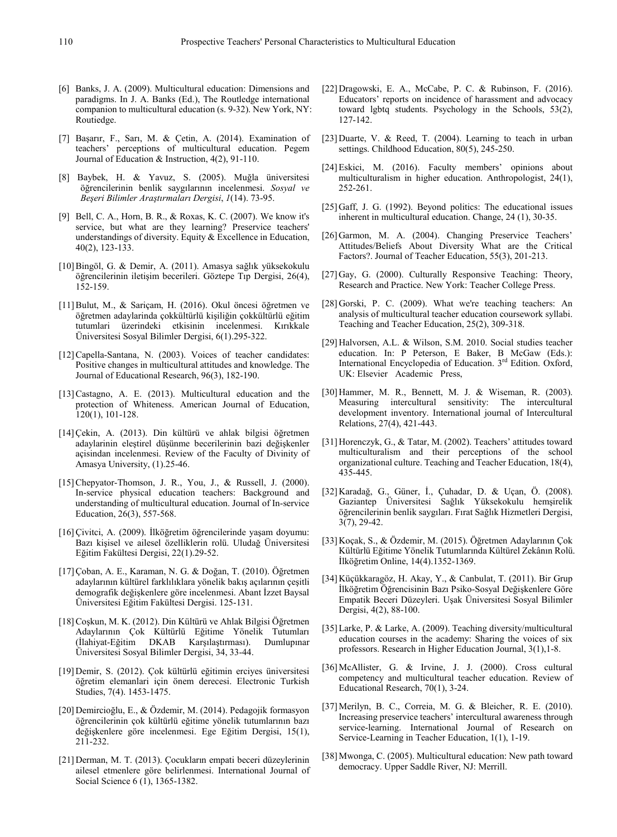- [6] Banks, J. A. (2009). Multicultural education: Dimensions and paradigms. In J. A. Banks (Ed.), The Routledge international companion to multicultural education (s. 9-32). New York, NY: Routiedge.
- [7] Başarır, F., Sarı, M. & Çetin, A. (2014). Examination of teachers' perceptions of multicultural education. Pegem Journal of Education & Instruction, 4(2), 91-110.
- [8] Baybek, H. & Yavuz, S. (2005). Muğla üniversitesi öğrencilerinin benlik saygılarının incelenmesi. *Sosyal ve Beşeri Bilimler Araştırmaları Dergisi*, *1*(14). 73-95.
- [9] Bell, C. A., Horn, B. R., & Roxas, K. C. (2007). We know it's service, but what are they learning? Preservice teachers' understandings of diversity. Equity & Excellence in Education, 40(2), 123-133.
- [10]Bingöl, G. & Demir, A. (2011). Amasya sağlık yüksekokulu öğrencilerinin iletişim becerileri. Göztepe Tıp Dergisi, 26(4), 152-159.
- [11]Bulut, M., & Sariçam, H. (2016). Okul öncesi öğretmen ve öğretmen adaylarinda çokkültürlü kişiliğin çokkültürlü eğitim tutumlari üzerindeki etkisinin incelenmesi. Kırıkkale Üniversitesi Sosyal Bilimler Dergisi, 6(1).295-322.
- [12]Capella-Santana, N. (2003). Voices of teacher candidates: Positive changes in multicultural attitudes and knowledge. The Journal of Educational Research, 96(3), 182-190.
- [13]Castagno, A. E. (2013). Multicultural education and the protection of Whiteness. American Journal of Education, 120(1), 101-128.
- [14]Çekin, A. (2013). Din kültürü ve ahlak bilgisi öğretmen adaylarinin eleştirel düşünme becerilerinin bazi değişkenler açisindan incelenmesi. Review of the Faculty of Divinity of Amasya University, (1).25-46.
- [15] Chepyator-Thomson, J. R., You, J., & Russell, J. (2000). In-service physical education teachers: Background and understanding of multicultural education. Journal of In-service Education, 26(3), 557-568.
- [16]Çivitci, A. (2009). İlköğretim öğrencilerinde yaşam doyumu: Bazı kişisel ve ailesel özelliklerin rolü. Uludağ Üniversitesi Eğitim Fakültesi Dergisi, 22(1).29-52.
- [17]Çoban, A. E., Karaman, N. G. & Doğan, T. (2010). Öğretmen adaylarının kültürel farklılıklara yönelik bakış açılarının çeşitli demografik değişkenlere göre incelenmesi. Abant İzzet Baysal Üniversitesi Eğitim Fakültesi Dergisi. 125-131.
- [18]Coşkun, M. K. (2012). Din Kültürü ve Ahlak Bilgisi Öğretmen Adaylarının Çok Kültürlü Eğitime Yönelik Tutumları (İlahiyat-Eğitim DKAB Karşılaştırması). Üniversitesi Sosyal Bilimler Dergisi, 34, 33-44.
- [19] Demir, S. (2012). Çok kültürlü eğitimin erciyes üniversitesi öğretim elemanlari için önem derecesi. Electronic Turkish Studies, 7(4). 1453-1475.
- [20] Demircioğlu, E., & Özdemir, M. (2014). Pedagojik formasyon öğrencilerinin çok kültürlü eğitime yönelik tutumlarının bazı değişkenlere göre incelenmesi. Ege Eğitim Dergisi, 15(1), 211-232.
- [21] Derman, M. T. (2013). Çocukların empati beceri düzeylerinin ailesel etmenlere göre belirlenmesi. International Journal of Social Science 6 (1), 1365-1382.
- [22] Dragowski, E. A., McCabe, P. C. & Rubinson, F. (2016). Educators' reports on incidence of harassment and advocacy toward lgbtq students. Psychology in the Schools, 53(2), 127-142.
- [23] Duarte, V. & Reed, T. (2004). Learning to teach in urban settings. Childhood Education, 80(5), 245-250.
- [24]Eskici, M. (2016). Faculty members' opinions about multiculturalism in higher education. Anthropologist, 24(1), 252-261.
- [25] Gaff, J. G. (1992). Beyond politics: The educational issues inherent in multicultural education. Change, 24 (1), 30-35.
- [26] Garmon, M. A. (2004). Changing Preservice Teachers' Attitudes/Beliefs About Diversity What are the Critical Factors?. Journal of Teacher Education, 55(3), 201-213.
- [27] Gay, G. (2000). Culturally Responsive Teaching: Theory, Research and Practice. New York: Teacher College Press.
- [28] Gorski, P. C. (2009). What we're teaching teachers: An analysis of multicultural teacher education coursework syllabi. Teaching and Teacher Education, 25(2), 309-318.
- [29] Halvorsen, A.L. & Wilson, S.M. 2010. Social studies teacher education. In: P Peterson, E Baker, B McGaw (Eds.): International Encyclopedia of Education. 3rd Edition. Oxford, UK: Elsevier Academic Press,
- [30] Hammer, M. R., Bennett, M. J. & Wiseman, R. (2003). Measuring intercultural sensitivity: The intercultural development inventory. International journal of Intercultural Relations, 27(4), 421-443.
- [31] Horenczyk, G., & Tatar, M. (2002). Teachers' attitudes toward multiculturalism and their perceptions of the school organizational culture. Teaching and Teacher Education, 18(4), 435-445.
- [32] Karadağ, G., Güner, İ., Çuhadar, D. & Uçan, Ö. (2008). Gaziantep Üniversitesi Sağlık Yüksekokulu hemşirelik öğrencilerinin benlik saygıları. Fırat Sağlık Hizmetleri Dergisi, 3(7), 29-42.
- [33] Koçak, S., & Özdemir, M. (2015). Öğretmen Adaylarının Çok Kültürlü Eğitime Yönelik Tutumlarında Kültürel Zekânın Rolü. İlköğretim Online, 14(4).1352-1369.
- [34] Küçükkaragöz, H. Akay, Y., & Canbulat, T. (2011). Bir Grup İlköğretim Öğrencisinin Bazı Psiko-Sosyal Değişkenlere Göre Empatik Beceri Düzeyleri. Uşak Üniversitesi Sosyal Bilimler Dergisi, 4(2), 88-100.
- [35]Larke, P. & Larke, A. (2009). Teaching diversity/multicultural education courses in the academy: Sharing the voices of six professors. Research in Higher Education Journal, 3(1),1-8.
- [36]McAllister, G. & Irvine, J. J. (2000). Cross cultural competency and multicultural teacher education. Review of Educational Research, 70(1), 3-24.
- [37]Merilyn, B. C., Correia, M. G. & Bleicher, R. E. (2010). Increasing preservice teachers' intercultural awareness through service-learning. International Journal of Research on Service-Learning in Teacher Education, 1(1), 1-19.
- [38]Mwonga, C. (2005). Multicultural education: New path toward democracy. Upper Saddle River, NJ: Merrill.